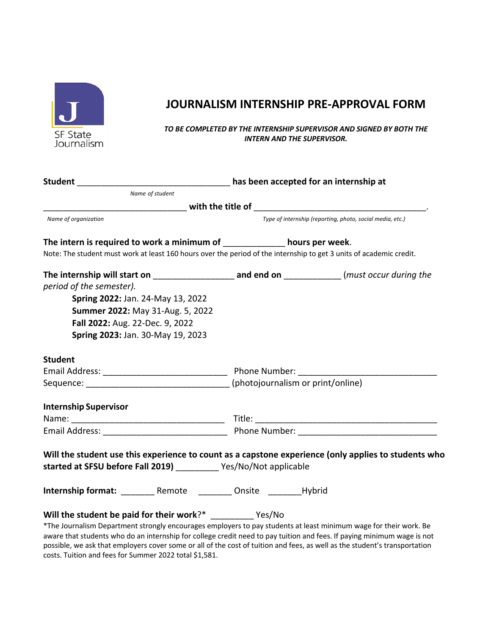

## **JOURNALISM INTERNSHIP PRE-APPROVAL FORM**

*TO BE COMPLETED BY THE INTERNSHIP SUPERVISOR AND SIGNED BY BOTH THE INTERN AND THE SUPERVISOR.*

| Name of student                                                               |                                                                                                                         |  |
|-------------------------------------------------------------------------------|-------------------------------------------------------------------------------------------------------------------------|--|
|                                                                               |                                                                                                                         |  |
| Name of organization                                                          | Type of internship (reporting, photo, social media, etc.)                                                               |  |
| The intern is required to work a minimum of ____________ hours per week.      | Note: The student must work at least 160 hours over the period of the internship to get 3 units of academic credit.     |  |
|                                                                               |                                                                                                                         |  |
| period of the semester).                                                      |                                                                                                                         |  |
| Spring 2022: Jan. 24-May 13, 2022                                             |                                                                                                                         |  |
| Summer 2022: May 31-Aug. 5, 2022                                              |                                                                                                                         |  |
| Fall 2022: Aug. 22-Dec. 9, 2022                                               |                                                                                                                         |  |
| Spring 2023: Jan. 30-May 19, 2023                                             |                                                                                                                         |  |
| <b>Student</b>                                                                |                                                                                                                         |  |
|                                                                               |                                                                                                                         |  |
| Sequence: __________________________________(photojournalism or print/online) |                                                                                                                         |  |
| <b>Internship Supervisor</b>                                                  |                                                                                                                         |  |
|                                                                               |                                                                                                                         |  |
|                                                                               |                                                                                                                         |  |
|                                                                               | Will the student use this experience to count as a capstone experience (only applies to students who                    |  |
| started at SFSU before Fall 2019) Yes/No/Not applicable                       |                                                                                                                         |  |
| Internship format: _________ Remote _________ Onsite ________ Hybrid          |                                                                                                                         |  |
| Will the student be paid for their work?* __________ Yes/No                   |                                                                                                                         |  |
|                                                                               | *The Journalism Department strongly encourages employers to pay students at least minimum wage for their work. Be       |  |
|                                                                               | aware that students who do an internship for college credit need to pay tuition and fees. If paying minimum wage is not |  |

aware that students who do an internship for college credit need to pay tuition and fees. If paying minimum wage is not possible, we ask that employers cover some or all of the cost of tuition and fees, as well as the student's transportation costs. Tuition and fees for Summer 2022 total \$1,581.